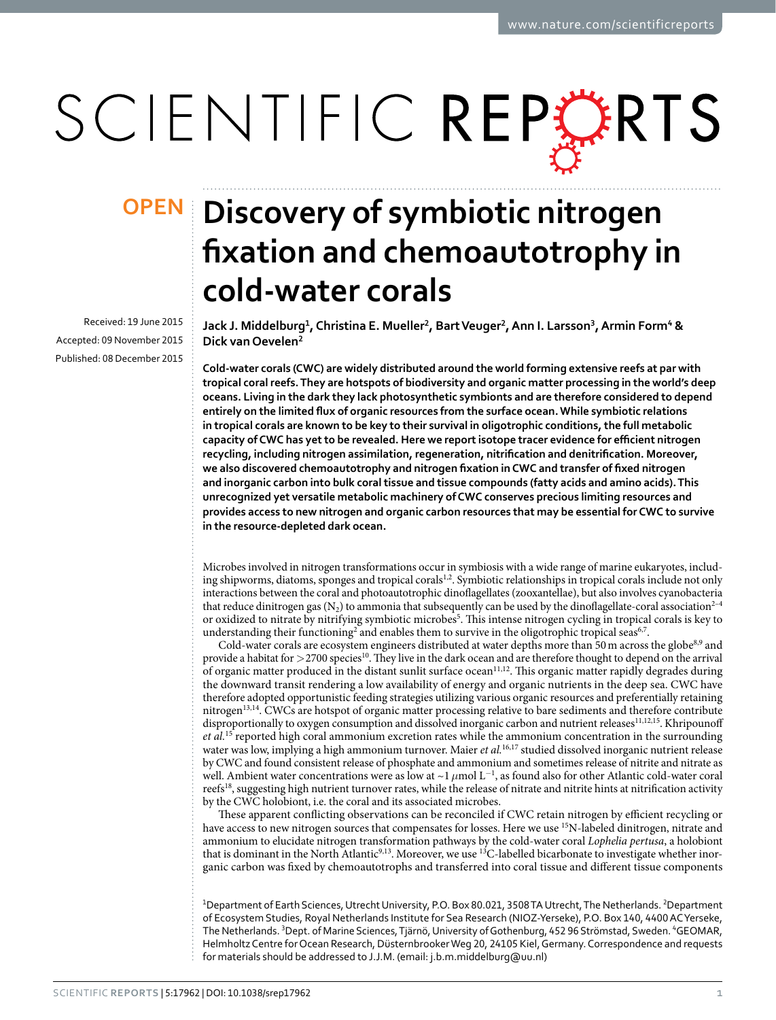# SCIENTIFIC REPERTS

Received: 19 June 2015 accepted: 09 November 2015 Published: 08 December 2015

## **Discovery of symbiotic nitrogen OPENfixation and chemoautotrophy in cold-water corals**

**Jack J. Middelburg1, Christina E. Mueller2, BartVeuger2, Ann I. Larsson<sup>3</sup>, Armin Form<sup>4</sup> & Dick vanOevelen<sup>2</sup>**

**Cold-water corals (CWC) are widely distributed around the world forming extensive reefs at par with tropical coral reefs. They are hotspots of biodiversity and organic matter processing in the world's deep oceans. Living in the dark they lack photosynthetic symbionts and are therefore considered to depend entirely on the limited flux of organic resources from the surface ocean. While symbiotic relations in tropical corals are known to be key to their survival in oligotrophic conditions, the full metabolic capacity of CWC has yet to be revealed. Here we report isotope tracer evidence for efficient nitrogen recycling, including nitrogen assimilation, regeneration, nitrification and denitrification. Moreover, we also discovered chemoautotrophy and nitrogen fixation in CWC and transfer of fixed nitrogen and inorganic carbon into bulk coral tissue and tissue compounds (fatty acids and amino acids). This unrecognized yet versatile metabolic machinery of CWC conserves precious limiting resources and provides access to new nitrogen and organic carbon resources that may be essential for CWC to survive in the resource-depleted dark ocean.**

Microbes involved in nitrogen transformations occur in symbiosis with a wide range of marine eukaryotes, includ-ing shipworms, diatoms, sponges and tropical corals<sup>1[,2](#page-7-1)</sup>. Symbiotic relationships in tropical corals include not only interactions between the coral and photoautotrophic dinoflagellates (zooxantellae), but also involves cyanobacteria that reduce dinitrogen gas  $(N_2)$  to ammonia that subsequently can be used by the dinoflagellate-coral association<sup>2-4</sup> or oxidized to nitrate by nitrifying symbiotic microbes<sup>[5](#page-7-2)</sup>. This intense nitrogen cycling in tropical corals is key to understanding their functioning<sup>2</sup> and enables them to survive in the oligotrophic tropical seas<sup>[6](#page-7-3),7</sup>.

Cold-water corals are ecosystem engineers distributed at water depths more than 50 m across the globe<sup>8,[9](#page-7-6)</sup> and provide a habitat for  $>$  2700 species<sup>[10](#page-7-7)</sup>. They live in the dark ocean and are therefore thought to depend on the arrival of organic matter produced in the distant sunlit surface ocean<sup>[11](#page-7-8),[12](#page-7-9)</sup>. This organic matter rapidly degrades during the downward transit rendering a low availability of energy and organic nutrients in the deep sea. CWC have therefore adopted opportunistic feeding strategies utilizing various organic resources and preferentially retaining nitrogen<sup>13,14</sup>. CWCs are hotspot of organic matter processing relative to bare sediments and therefore contribute disproportionally to oxygen consumption and dissolved inorganic carbon and nutrient releases<sup>11,[12,](#page-7-9)[15](#page-7-12)</sup>. Khripounoff *et al.*[15](#page-7-12) reported high coral ammonium excretion rates while the ammonium concentration in the surrounding water was low, implying a high ammonium turnover. Maier *et al.*<sup>[16](#page-7-13),17</sup> studied dissolved inorganic nutrient release by CWC and found consistent release of phosphate and ammonium and sometimes release of nitrite and nitrate as well. Ambient water concentrations were as low at ~1 µmol L<sup>-1</sup>, as found also for other Atlantic cold-water coral reefs<sup>18</sup>, suggesting high nutrient turnover rates, while the release of nitrate and nitrite hints at nitrification activity by the CWC holobiont, i.e. the coral and its associated microbes.

These apparent conflicting observations can be reconciled if CWC retain nitrogen by efficient recycling or have access to new nitrogen sources that compensates for losses. Here we use <sup>15</sup>N-labeled dinitrogen, nitrate and ammonium to elucidate nitrogen transformation pathways by the cold-water coral *Lophelia pertusa*, a holobiont that is dominant in the North Atlantic<sup>[9](#page-7-6),[13](#page-7-10)</sup>. Moreover, we use <sup>13</sup>C-labelled bicarbonate to investigate whether inorganic carbon was fixed by chemoautotrophs and transferred into coral tissue and different tissue components

<sup>1</sup>Department of Earth Sciences, Utrecht University, P.O. Box 80.021, 3508 TA Utrecht, The Netherlands. <sup>2</sup>Department of Ecosystem Studies, Royal Netherlands Institute for Sea Research (NIOZ-Yerseke), P.O. Box 140, 4400 AC Yerseke, The Netherlands. <sup>3</sup>Dept. of Marine Sciences, Tjärnö, University of Gothenburg, 452 96 Strömstad, Sweden. <sup>4</sup>GEOMAR, Helmholtz Centre for Ocean Research, Düsternbrooker Weg 20, 24105 Kiel, Germany. Correspondence and requests for materials should be addressed to J.J.M. (email: [j.b.m.middelburg@uu.nl](mailto:j.b.m.middelburg@uu.nl))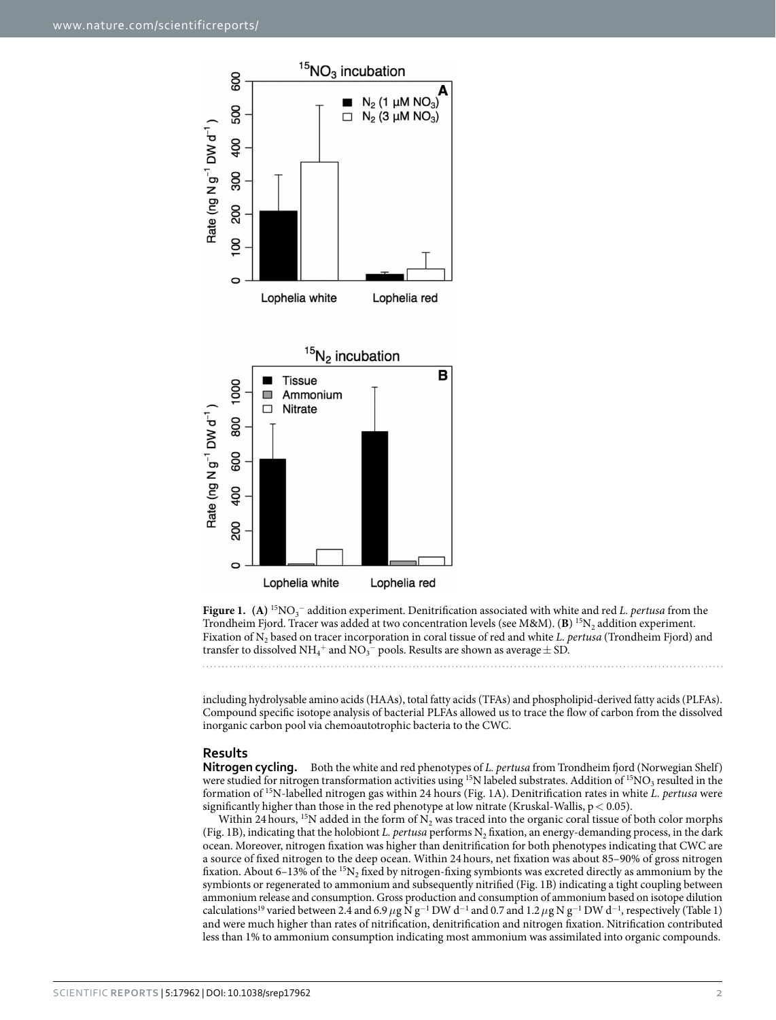

<span id="page-1-0"></span>**Figure 1.** (A) <sup>15</sup>NO<sub>3</sub><sup>−</sup> addition experiment. Denitrification associated with white and red *L. pertusa* from the Trondheim Fjord. Tracer was added at two concentration levels (see M&M). (**B**) <sup>15</sup>N<sub>2</sub> addition experiment. Fixation of N2 based on tracer incorporation in coral tissue of red and white *L. pertusa* (Trondheim Fjord) and transfer to dissolved  $\mathrm{NH_4^+}$  and  $\mathrm{NO_3^-}$  pools. Results are shown as average  $\pm$  SD.

including hydrolysable amino acids (HAAs), total fatty acids (TFAs) and phospholipid-derived fatty acids (PLFAs). Compound specific isotope analysis of bacterial PLFAs allowed us to trace the flow of carbon from the dissolved inorganic carbon pool via chemoautotrophic bacteria to the CWC.

#### **Results**

**Nitrogen cycling.** Both the white and red phenotypes of *L. pertusa* from Trondheim fjord (Norwegian Shelf) were studied for nitrogen transformation activities using <sup>15</sup>N labeled substrates. Addition of <sup>15</sup>NO<sub>3</sub> resulted in the formation of 15N-labelled nitrogen gas within 24 hours ([Fig. 1A](#page-1-0)). Denitrification rates in white *L. pertusa* were significantly higher than those in the red phenotype at low nitrate (Kruskal-Wallis,  $p < 0.05$ ).

Within 24 hours, <sup>15</sup>N added in the form of N<sub>2</sub> was traced into the organic coral tissue of both color morphs ([Fig. 1B](#page-1-0)), indicating that the holobiont *L. pertusa* performs N<sub>2</sub> fixation, an energy-demanding process, in the dark ocean. Moreover, nitrogen fixation was higher than denitrification for both phenotypes indicating that CWC are a source of fixed nitrogen to the deep ocean. Within 24hours, net fixation was about 85–90% of gross nitrogen fixation. About 6–13% of the  ${}^{15}N_2$  fixed by nitrogen-fixing symbionts was excreted directly as ammonium by the symbionts or regenerated to ammonium and subsequently nitrified [\(Fig. 1B](#page-1-0)) indicating a tight coupling between ammonium release and consumption. Gross production and consumption of ammonium based on isotope dilution calculations<sup>[19](#page-7-16)</sup> varied between 2.4 and 6.9  $\mu$ g N g<sup>-1</sup> DW d<sup>-1</sup> and 0.7 and 1.2  $\mu$ g N g<sup>-1</sup> DW d<sup>-1</sup>, respectively ([Table 1\)](#page-2-0) and were much higher than rates of nitrification, denitrification and nitrogen fixation. Nitrification contributed less than 1% to ammonium consumption indicating most ammonium was assimilated into organic compounds.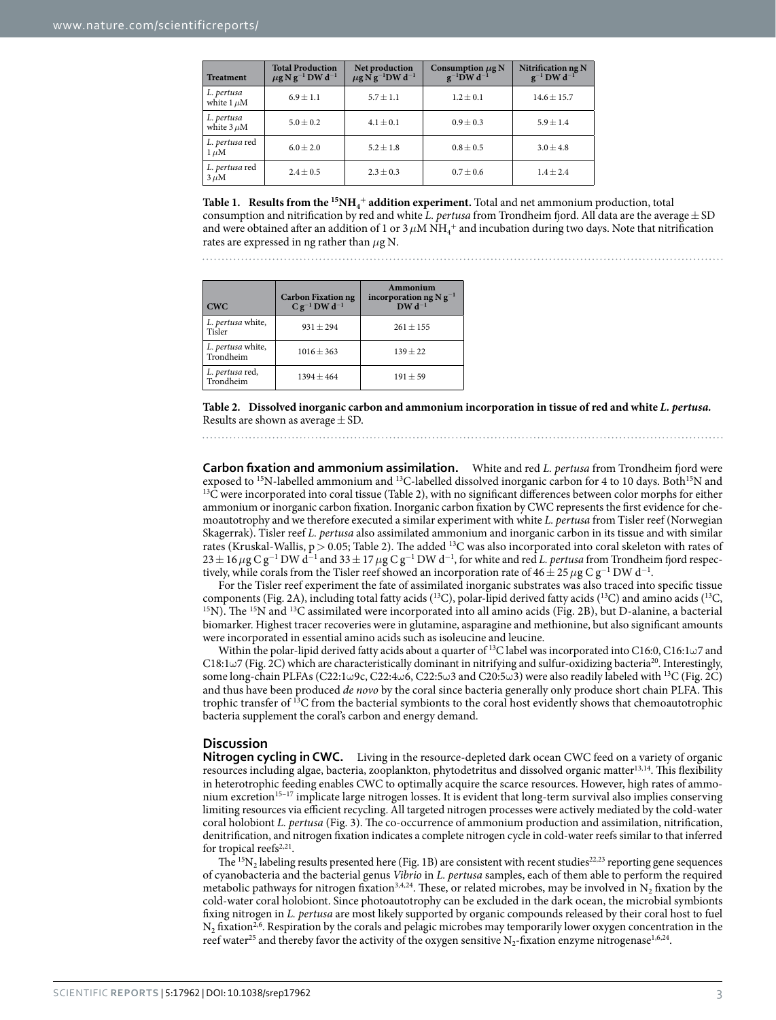<span id="page-2-0"></span>

| <b>Treatment</b>              | <b>Total Production</b><br>$\mu$ g N g <sup>-1</sup> DW d <sup>-1</sup> | Net production<br>$\mu$ g N g <sup>-1</sup> DW d <sup>-1</sup> | Consumption $\mu$ g N<br>$g^{-1}$ DW d <sup>-1</sup> | Nitrification ng N<br>$g^{-1}$ DW d <sup>-1</sup> |
|-------------------------------|-------------------------------------------------------------------------|----------------------------------------------------------------|------------------------------------------------------|---------------------------------------------------|
| L. pertusa<br>white $1 \mu M$ | $6.9 \pm 1.1$                                                           | $5.7 \pm 1.1$                                                  | $1.2 \pm 0.1$                                        | $14.6 \pm 15.7$                                   |
| L. pertusa<br>white $3 \mu$ M | $5.0 + 0.2$                                                             | $4.1 \pm 0.1$                                                  | $0.9 \pm 0.3$                                        | $5.9 + 1.4$                                       |
| L. pertusa red<br>$1 \mu M$   | $6.0 \pm 2.0$                                                           | $5.2 \pm 1.8$                                                  | $0.8 \pm 0.5$                                        | $3.0 \pm 4.8$                                     |
| L. pertusa red<br>$3 \mu M$   | $2.4 \pm 0.5$                                                           | $2.3 \pm 0.3$                                                  | $0.7 \pm 0.6$                                        | $1.4 \pm 2.4$                                     |

**Table 1. Results from the <sup>15</sup>NH<sub>4</sub><sup>+</sup> addition experiment. Total and net ammonium production, total** consumption and nitrification by red and white *L. pertusa* from Trondheim fjord. All data are the average  $\pm$  SD and were obtained after an addition of 1 or 3  $\mu$ M NH<sub>4</sub><sup>+</sup> and incubation during two days. Note that nitrification rates are expressed in ng rather than *μ*g N.

<span id="page-2-1"></span>

| <b>CWC</b>                     | <b>Carbon Fixation ng</b><br>$C g^{-1} D W d^{-1}$ | Ammonium<br>incorporation ng $N g^{-1}$<br>$DWd^{-1}$ |  |
|--------------------------------|----------------------------------------------------|-------------------------------------------------------|--|
| L. pertusa white,<br>Tisler    | $931 + 294$                                        | $261 + 155$                                           |  |
| L. pertusa white,<br>Trondheim | $1016 + 363$                                       | $139 + 22$                                            |  |
| L. pertusa red,<br>Trondheim   | $1394 + 464$                                       | $191 + 59$                                            |  |

**Table 2. Dissolved inorganic carbon and ammonium incorporation in tissue of red and white** *L. pertusa.* Results are shown as average  $\pm$  SD.

**Carbon fixation and ammonium assimilation.** White and red *L. pertusa* from Trondheim fjord were exposed to <sup>15</sup>N-labelled ammonium and <sup>13</sup>C-labelled dissolved inorganic carbon for 4 to 10 days. Both<sup>15</sup>N and  $^{13}$ C were incorporate[d](#page-2-1) into coral tissue ([Table 2](#page-2-1)), with no significant differences between color morphs for either ammonium or inorganic carbon fixation. Inorganic carbon fixation by CWC represents the first evidence for chemoautotrophy and we therefore executed a similar experiment with white *L. pertusa* from Tisler reef (Norwegian Skagerrak). Tisler reef *L. pertusa* also assimilated ammonium and inorganic carbon in its tissue and with similar rates (Kruskal-Wallis,  $p > 0.05$ ; [Table 2](#page-2-1)). The added <sup>13</sup>C was also incorporated into coral skeleton with rates of 23 ± 16 µg C g<sup>−1</sup> DW d<sup>−1</sup> and 33 ± 17 µg C g<sup>−1</sup> DW d<sup>−1</sup>, for white and red *L. pertusa* from Trondheim fjord respectively, while corals from the Tisler reef showed an incorporation rate of  $46\pm25\,\mu$ g C g<sup>−1</sup> DW d<sup>−1</sup>.

For the Tisler reef experiment the fate of assimilated inorganic substrates was also traced into specific tissue components ([Fig. 2A\)](#page-3-0), including total fa[tty acids](#page-3-0) (<sup>13</sup>C), polar-lipid derived fatty acids (<sup>13</sup>C) and amino acids (<sup>13</sup>C, <sup>15</sup>N). The <sup>15</sup>N and <sup>13</sup>C assimilated were incorporated into all amino acids [\(Fig. 2B](#page-3-0)), but D-al biomarker. Highest tracer recoveries were in glutamine, asparagine and methionine, but also significant amounts were incorporated in essential amino acids such as isoleucine and leucine.

Within the polar-lipid derived fatty acids about a quarter of <sup>13</sup>C label was incorporated into C16:0, C16:1ω7 and C18:1 $\omega$ 7 [\(Fig. 2C](#page-3-0)) which are characteristically dominant in nitrifying and sulfur-oxidizing bacteria<sup>[20](#page-7-17)</sup>. Interestingly, some long-chain PLFAs (C22:1ω9c, C22:4ω6, C22:5ω3 and C20:5ω3) were also readily labeled with <sup>13</sup>C ([Fig. 2C\)](#page-3-0) and thus have been produced *de novo* by the coral since bacteria generally only produce short chain PLFA. This trophic transfer of 13C from the bacterial symbionts to the coral host evidently shows that chemoautotrophic bacteria supplement the coral's carbon and energy demand.

#### **Discussion**

**Nitrogen cycling in CWC.** Living in the resource-depleted dark ocean CWC feed on a variety of organic resources including algae, bacteria, zooplankton, phytodetritus and dissolved organic matter<sup>[13](#page-7-10),[14](#page-7-11)</sup>. This flexibility in heterotrophic feeding enables CWC to optimally acquire the scarce resources. However, high rates of ammonium excretion[15–17](#page-7-12) implicate large nitrogen losses. It is evident that long-term survival also implies conserving limiting resources via efficient recycling. All targeted nitrogen processes were actively mediated by the cold-water coral holobiont *L. pertusa* [\(Fig. 3](#page-3-1)). The co-occurrence of ammonium production and assimilation, nitrification, denitrification, and nitrogen fixation indicates a complete nitrogen cycle in cold-water reefs similar to that inferred for tropical reefs $2,21$ .

The <sup>15</sup>N<sub>2</sub> labeling results presented here ([Fig. 1B](#page-1-0)) are consistent with recent studies<sup>22,23</sup> reporting gene sequences of cyanobacteria and the bacterial genus *Vibrio* in *L. pertusa* samples, each of them able to perform the required metabolic pathways for nitrogen fixation<sup>[3](#page-7-21)[,4](#page-7-22)[,24](#page-7-23)</sup>. These, or related microbes, may be involved in N<sub>2</sub> fixation by the cold-water coral holobiont. Since photoautotrophy can be excluded in the dark ocean, the microbial symbionts fixing nitrogen in *L. pertusa* are most likely supported by organic compounds released by their coral host to fuel  $N_2$  fixation<sup>2[,6](#page-7-3)</sup>. Respiration by the corals and pelagic microbes may temporarily lower oxygen concentration in the reef water<sup>[25](#page-7-24)</sup> and thereby favor the activity of the oxygen sensitive N<sub>2</sub>-fixation enzyme nitrogenase<sup>[1,](#page-7-0)[6](#page-7-3),24</sup>.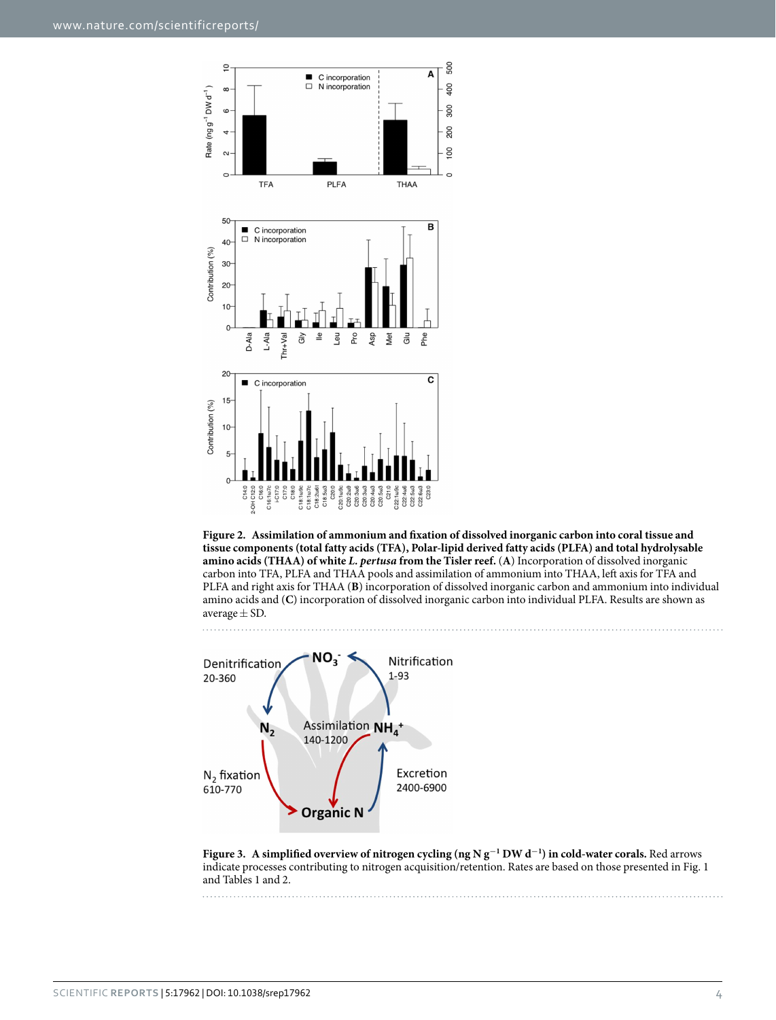

<span id="page-3-0"></span>



<span id="page-3-1"></span>**Figure 3. A simplified overview of nitrogen cycling (ng N g<sup>−</sup><sup>1</sup> DW d<sup>−</sup><sup>1</sup> ) in cold-water corals.** Red arrows indicate processes contributing to nitrogen acquisition/retention. Rates are based on those presented in [Fig. 1](#page-1-0) and [Tables 1](#page-2-0) and [2](#page-2-1).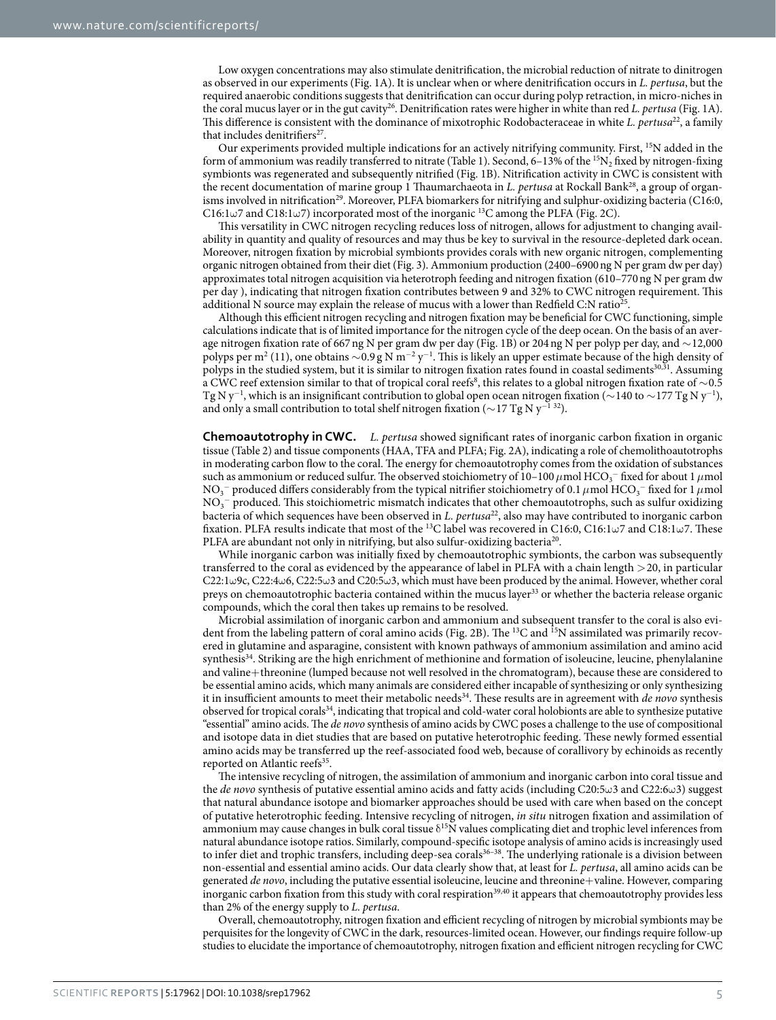Low oxygen concentrations may also stimulate denitrification, the microbial reduction of nitrate to dinitrogen as observed in our experiments ([Fig. 1A\)](#page-1-0). It is unclear when or where denitrification occurs in *L. pertusa*, but the required anaerobic conditions suggests that denitrification can occur during polyp retraction, in micro-niches in the coral mucus layer or in the gut cavity[26](#page-7-25). Denitrification rates were higher in white than red *L. pertusa* [\(Fig. 1A\)](#page-1-0). This difference is consistent with the dominance of mixotrophic Rodobacteraceae in white *L. pertusa*<sup>22</sup>, a family that includes denitrifiers<sup>27</sup>

Our experiments provided multiple indications for an actively nitrifying community. First, 15N added in the form of ammonium was readily transferred to nitrate [\(Table 1](#page-2-0)). Second, 6–13% of the <sup>15</sup>N<sub>2</sub> fixed by nitrogen-fixing symbionts was regenerated and subsequently nitrified [\(Fig. 1B\)](#page-1-0). Nitrification activity in CWC is consistent with the recent documentation of marine group 1 Thaumarchaeota in *L. pertusa* at Rockall Bank[28](#page-8-0), a group of organ-isms involved in nitrification<sup>[29](#page-8-1)</sup>. Moreover, PLFA biomarkers for nitrifying and sulphur-oxidizing bacteria (C16:0, C16:1ω7 and C18:1ω7) incorporated most of the inorganic <sup>13</sup>C among the PLFA [\(Fig. 2C\)](#page-3-0).

This versatility in CWC nitrogen recycling reduces loss of nitrogen, allows for adjustment to changing availability in quantity and quality of resources and may thus be key to survival in the resource-depleted dark ocean. Moreover, nitrogen fixation by microbial symbionts provides corals with new organic nitrogen, complementing organic nitrogen obtained from their diet ([Fig. 3\)](#page-3-1). Ammonium production (2400–6900ng N per gram dw per day) approximates total nitrogen acquisition via heterotroph feeding and nitrogen fixation (610–770ng N per gram dw per day ), indicating that nitrogen fixation contributes between 9 and 32% to CWC nitrogen requirement. This additional N source may explain the release of mucus with a lower than Redfield C:N ratio<sup>25</sup>

Although this efficient nitrogen recycling and nitrogen fixation may be beneficial for CWC functioning, simple calculations indicate that is of limited importance for the nitrogen cycle of the deep ocean. On the basis of an average nitrogen fixation rate of 667ng N per gram dw per day ([Fig. 1B\)](#page-1-0) or 204ng N per polyp per day, and ∼12,000 polyps per m<sup>2</sup> (11), one obtains  $\sim$ 0.9 g N m<sup>-2</sup> y<sup>-1</sup>. This is likely an upper estimate because of the high density of polyps in the studied system, but it is similar to nitrogen fixation rates found in coastal sediments<sup>[30](#page-8-2),[31](#page-8-3)</sup>. Assuming a CWC reef extension similar to that of tropical coral reefs<sup>[8](#page-7-5)</sup>, this relates to a global nitrogen fixation rate of  $\sim$ 0.5 Tg N y<sup>−1</sup>, which is an insignificant contribution to global open ocean nitrogen fixation (∼140 to ∼177 Tg N y<sup>−1</sup>), and only a small contribution to total shelf nitrogen fixation ( $\sim$ 17 Tg N y<sup>-1 [32](#page-8-4)</sup>).

**Chemoautotrophy in CWC.** *L. pertusa* showed significant rates of inorganic carbon fixation in organic tissue ([Table 2\)](#page-2-1) and tissue components (HAA, TFA and PLFA; [Fig. 2A\)](#page-3-0), indicating a role of chemolithoautotrophs in moderating carbon flow to the coral. The energy for chemoautotrophy comes from the oxidation of substances such as ammonium or reduced sulfur. The observed stoichiometry of 10–100  $\mu$ mol HCO<sub>3</sub><sup>–</sup> fixed for about 1  $\mu$ mol NO<sub>3</sub><sup>−</sup> produced differs considerably from the typical nitrifier stoichiometry of 0.1  $\mu$ mol HCO<sub>3</sub><sup>−</sup> fixed for 1  $\mu$ mol  $\mathrm{NO_3}^-$  produced. This stoichiometric mismatch indicates that other chemoautotrophs, such as sulfur oxidizing bacteria of which sequences have been observed in *L. pertusa*[22](#page-7-19), also may have contributed to inorganic carbon fixation. PLFA results indicate that most of the 13C label was recovered in C16:0, C16:1ω7 and C18:1ω7. These PLFA are abundant not only in nitrifying, but also sulfur-oxidizing bacteria<sup>20</sup>.

While inorganic carbon was initially fixed by chemoautotrophic symbionts, the carbon was subsequently transferred to the coral as evidenced by the appearance of label in PLFA with a chain length >20, in particular C22:1ω9c, C22:4ω6, C22:5ω3 and C20:5ω3, which must have been produced by the animal. However, whether coral preys on chemoautotrophic bacteria contained within the mucus layer<sup>[33](#page-8-5)</sup> or whether the bacteria release organic compounds, which the coral then takes up remains to be resolved.

Microbial assimilation of inorganic carbon and ammonium and subsequent transfer to the coral is also evi-dent from the labeling pattern of coral amino acids [\(Fig. 2B](#page-3-0)). The <sup>13</sup>C and <sup>15</sup>N assimilated was primarily recovered in glutamine and asparagine, consistent with known pathways of ammonium assimilation and amino acid synthesis<sup>34</sup>. Striking are the high enrichment of methionine and formation of isoleucine, leucine, phenylalanine and valine+threonine (lumped because not well resolved in the chromatogram), because these are considered to be essential amino acids, which many animals are considered either incapable of synthesizing or only synthesizing it in insufficient amounts to meet their metabolic needs<sup>34</sup>. These results are in agreement with *de novo* synthesis observed for tropical corals<sup>34</sup>, indicating that tropical and cold-water coral holobionts are able to synthesize putative "essential" amino acids. The *de novo* synthesis of amino acids by CWC poses a challenge to the use of compositional and isotope data in diet studies that are based on putative heterotrophic feeding. These newly formed essential amino acids may be transferred up the reef-associated food web, because of corallivory by echinoids as recently reported on Atlantic reefs<sup>35</sup>.

The intensive recycling of nitrogen, the assimilation of ammonium and inorganic carbon into coral tissue and the *de novo* synthesis of putative essential amino acids and fatty acids (including C20:5ω3 and C22:6ω3) suggest that natural abundance isotope and biomarker approaches should be used with care when based on the concept of putative heterotrophic feeding. Intensive recycling of nitrogen, *in situ* nitrogen fixation and assimilation of ammonium may cause changes in bulk coral tissue  $\delta^{15}N$  values complicating diet and trophic level inferences from natural abundance isotope ratios. Similarly, compound-specific isotope analysis of amino acids is increasingly used to infer diet and trophic transfers, including deep-sea corals<sup>36-38</sup>. The underlying rationale is a division between non-essential and essential amino acids. Our data clearly show that, at least for *L. pertusa*, all amino acids can be generated *de novo*, including the putative essential isoleucine, leucine and threonine+valine. However, comparing inorganic carbon fixation from this study with coral respiration<sup>[39](#page-8-9),[40](#page-8-10)</sup> it appears that chemoautotrophy provides less than 2% of the energy supply to *L. pertusa*.

Overall, chemoautotrophy, nitrogen fixation and efficient recycling of nitrogen by microbial symbionts may be perquisites for the longevity of CWC in the dark, resources-limited ocean. However, our findings require follow-up studies to elucidate the importance of chemoautotrophy, nitrogen fixation and efficient nitrogen recycling for CWC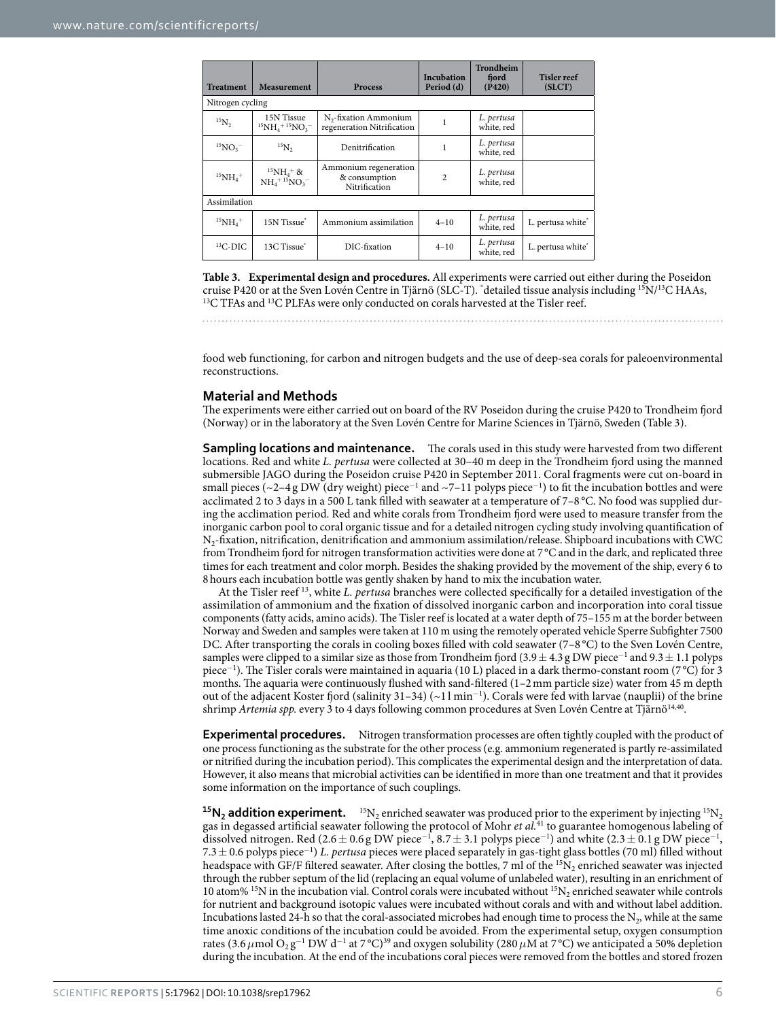<span id="page-5-0"></span>

| <b>Treatment</b>           | <b>Measurement</b>                            | Process                                                  | Incubation<br>Period (d) | Trondheim<br>fjord<br>(P420) | <b>Tisler reef</b><br>(SICT)  |  |  |  |  |
|----------------------------|-----------------------------------------------|----------------------------------------------------------|--------------------------|------------------------------|-------------------------------|--|--|--|--|
| Nitrogen cycling           |                                               |                                                          |                          |                              |                               |  |  |  |  |
| $^{15}N_2$                 | 15N Tissue<br>$^{15}NH_{4}$ + $^{15}NO_{3}$ – | $N_{2}$ -fixation Ammonium<br>regeneration Nitrification |                          | L. pertusa<br>white, red     |                               |  |  |  |  |
| $^{15}NO_3^-$              | $^{15}N_2$                                    | Denitrification                                          |                          | L. pertusa<br>white, red     |                               |  |  |  |  |
| $^{15}NH_{4}$ <sup>+</sup> | $^{15}NH_{4}$ + &<br>$NH_4^{+15}NO_3^-$       | Ammonium regeneration<br>& consumption<br>Nitrification  | 2                        | L. pertusa<br>white, red     |                               |  |  |  |  |
| Assimilation               |                                               |                                                          |                          |                              |                               |  |  |  |  |
| $^{15}NH_{4}$ <sup>+</sup> | 15N Tissue <sup>*</sup>                       | Ammonium assimilation                                    | $4 - 10$                 | L. pertusa<br>white, red     | L. pertusa white*             |  |  |  |  |
| ${}^{13}$ C-DIC            | 13C Tissue <sup>*</sup>                       | DIC-fixation                                             | $4 - 10$                 | L. pertusa<br>white, red     | L. pertusa white <sup>*</sup> |  |  |  |  |

**Table 3. Experimental design and procedures.** All experiments were carried out either during the Poseidon cruise P420 or at the Sven Lovén Centre in Tjärnö (SLC-T). "detailed tissue analysis including <sup>15</sup>N/<sup>13</sup>C HAAs, <sup>13</sup>C TFAs and <sup>13</sup>C PLFAs were only conducted on corals harvested at the Tisler reef.

food web functioning, for carbon and nitrogen budgets and the use of deep-sea corals for paleoenvironmental reconstructions.

### **Material and Methods**

The experiments were either carried out on board of the RV Poseidon during the cruise P420 to Trondheim fjord (Norway) or in the laboratory at the Sven Lovén Centre for Marine Sciences in Tjärnö, Sweden ([Table 3\)](#page-5-0).

**Sampling locations and maintenance.** The corals used in this study were harvested from two different locations. Red and white *L. pertusa* were collected at 30–40 m deep in the Trondheim fjord using the manned submersible JAGO during the Poseidon cruise P420 in September 2011. Coral fragments were cut on-board in small pieces (~2-4 g DW (dry weight) piece<sup>-1</sup> and ~7-11 polyps piece<sup>-1</sup>) to fit the incubation bottles and were acclimated 2 to 3 days in a 500 L tank filled with seawater at a temperature of 7–8 °C. No food was supplied during the acclimation period. Red and white corals from Trondheim fjord were used to measure transfer from the inorganic carbon pool to coral organic tissue and for a detailed nitrogen cycling study involving quantification of N2-fixation, nitrification, denitrification and ammonium assimilation/release. Shipboard incubations with CWC from Trondheim fjord for nitrogen transformation activities were done at 7 °C and in the dark, and replicated three times for each treatment and color morph. Besides the shaking provided by the movement of the ship, every 6 to 8hours each incubation bottle was gently shaken by hand to mix the incubation water.

At the Tisler reef [13](#page-7-10), white *L. pertusa* branches were collected specifically for a detailed investigation of the assimilation of ammonium and the fixation of dissolved inorganic carbon and incorporation into coral tissue components (fatty acids, amino acids). The Tisler reef is located at a water depth of 75–155 m at the border between Norway and Sweden and samples were taken at 110 m using the remotely operated vehicle Sperre Subfighter 7500 DC. After transporting the corals in cooling boxes filled with cold seawater (7–8 °C) to the Sven Lovén Centre, samples were clipped to a similar size as those from Trondheim fjord (3.9  $\pm$  4.3 g DW piece<sup>-1</sup> and 9.3  $\pm$  1.1 polyps piece<sup>-1</sup>). The Tisler corals were maintained in aquaria (10 L) placed in a dark thermo-constant room (7 °C) for 3 months. The aquaria were continuously flushed with sand-filtered (1–2mm particle size) water from 45 m depth out of the adjacent Koster fjord (salinity 31–34) (~1 l min<sup>−</sup><sup>1</sup> ). Corals were fed with larvae (nauplii) of the brine shrimp *Artemia spp.* every 3 to 4 days following common procedures at Sven Lovén Centre at Tjärnö<sup>14,40</sup>.

**Experimental procedures.** Nitrogen transformation processes are often tightly coupled with the product of one process functioning as the substrate for the other process (e.g. ammonium regenerated is partly re-assimilated or nitrified during the incubation period). This complicates the experimental design and the interpretation of data. However, it also means that microbial activities can be identified in more than one treatment and that it provides some information on the importance of such couplings.

 $15N_2$  addition experiment.  $15N_2$  enriched seawater was produced prior to the experiment by injecting  $15N_2$ gas in degassed artificial seawater following the protocol of Mohr *et al.*[41](#page-8-11) to guarantee homogenous labeling of dissolved nitrogen. Red (2.6 ± 0.6 g DW piece<sup>-1</sup>, 8.7 ± 3.1 polyps piece<sup>-1</sup>) and white (2.3 ± 0.1 g DW piece<sup>-1</sup>, 7.3± 0.6 polyps piece<sup>−</sup><sup>1</sup> ) *L. pertusa* pieces were placed separately in gas-tight glass bottles (70 ml) filled without headspace with GF/F filtered seawater. After closing the bottles, 7 ml of the  ${}^{15}N_2$  enriched seawater was injected through the rubber septum of the lid (replacing an equal volume of unlabeled water), resulting in an enrichment of 10 atom% <sup>15</sup>N in the incubation vial. Control corals were incubated without <sup>15</sup>N<sub>2</sub> enriched seawater while controls for nutrient and background isotopic values were incubated without corals and with and without label addition. Incubations lasted 24-h so that the coral-associated microbes had enough time to process the  $N_2$ , while at the same time anoxic conditions of the incubation could be avoided. From the experimental setup, oxygen consumption rates (3.6  $\mu$ mol O<sub>2</sub> g<sup>-1</sup> DW d<sup>-1</sup> at 7 °C)<sup>39</sup> and oxygen solubility (280  $\mu$ M at 7 °C) we anticipated a 50% depletion during the incubation. At the end of the incubations coral pieces were removed from the bottles and stored frozen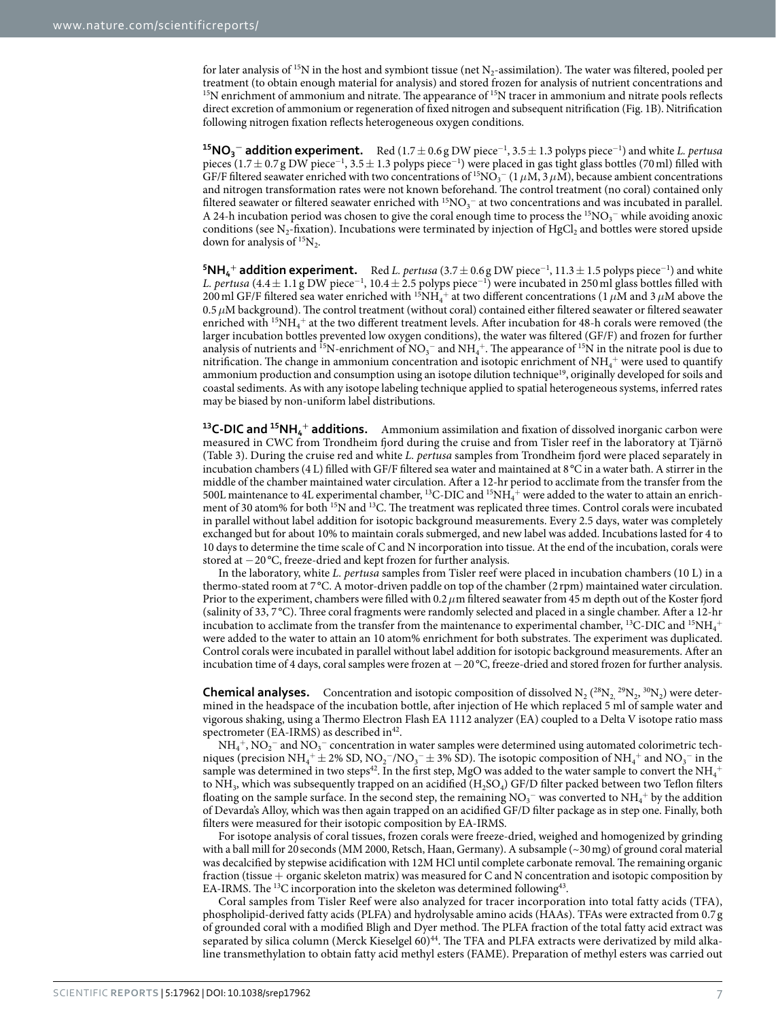for later analysis of <sup>15</sup>N in the host and symbiont tissue (net  $N_2$ -assimilation). The water was filtered, pooled per treatment (to obtain enough material for analysis) and stored frozen for analysis of nutrient concentrations and <sup>15</sup>N enrichment of ammonium and nitrate. The appearance of <sup>15</sup>N tracer in ammonium and nitrate pools reflects direct excretion of ammonium or regeneration of fixed nitrogen and subsequent nitrification [\(Fig. 1B\)](#page-1-0). Nitrification following nitrogen fixation reflects heterogeneous oxygen conditions.

**15NO3 <sup>−</sup> addition experiment.** Red (1.7± 0.6 g DW piece<sup>−</sup><sup>1</sup> , 3.5± 1.3 polyps piece<sup>−</sup><sup>1</sup> ) and white *L. pertusa* pieces (1.7 ± 0.7 g DW piece<sup>-1</sup>, 3.5 ± 1.3 polyps piece<sup>-1</sup>) were placed in gas tight glass bottles (70 ml) filled with GF/F filtered seawater enriched with two concentrations of <sup>15</sup>NO<sub>3</sub><sup>-</sup> (1  $\mu$ M, 3  $\mu$ M), because ambient concentrations and nitrogen transformation rates were not known beforehand. The control treatment (no coral) contained only filtered seawater or filtered seawater enriched with  $^{15}NO<sub>3</sub><sup>-</sup>$  at two concentrations and was incubated in parallel. A 24-h incubation period was chosen to give the coral enough time to process the  $15NO_3^-$  while avoiding anoxic conditions (see N<sub>2</sub>-fixation). Incubations were terminated by injection of HgCl<sub>2</sub> and bottles were stored upside down for analysis of  ${}^{15}N_2$ .

**5NH<sub>4</sub><sup>+</sup> addition experiment.** Red *L. pertusa* (3.7 ± 0.6 g DW piece<sup>-1</sup>, 11.3 ± 1.5 polyps piece<sup>-1</sup>) and white *L. pertusa* (4.4± 1.1 g DW piece<sup>−</sup><sup>1</sup> , 10.4± 2.5 polyps piece<sup>−</sup><sup>1</sup> ) were incubated in 250ml glass bottles filled with 200 ml GF/F filtered sea water enriched with  $^{15}NH_4^+$  at two different concentrations (1  $\mu$ M and 3  $\mu$ M above the 0.5*μ*M background). The control treatment (without coral) contained either filtered seawater or filtered seawater enriched with <sup>15</sup>NH<sub>4</sub><sup>+</sup> at the two different treatment levels. After incubation for 48-h corals were removed (the larger incubation bottles prevented low oxygen conditions), the water was filtered (GF/F) and frozen for further analysis of nutrients and <sup>15</sup>N-enrichment of  $NO_3^-$  and  $NH_4^+$ . The appearance of <sup>15</sup>N in the nitrate pool is due to nitrification. The change in ammonium concentration and isotopic enrichment of  $\mathrm{NH}_4^+$  were used to quantify ammonium production and consumption using an isotope dilution technique<sup>[19](#page-7-16)</sup>, originally developed for soils and coastal sediments. As with any isotope labeling technique applied to spatial heterogeneous systems, inferred rates may be biased by non-uniform label distributions.

**13C-DIC and 15NH4 <sup>+</sup> additions.** Ammonium assimilation and fixation of dissolved inorganic carbon were measured in CWC from Trondheim fjord during the cruise and from Tisler reef in the laboratory at Tjärnö ([Table 3\)](#page-5-0). During the cruise red and white *L. pertusa* samples from Trondheim fjord were placed separately in incubation chambers (4 L) filled with GF/F filtered sea water and maintained at 8 °C in a water bath. A stirrer in the middle of the chamber maintained water circulation. After a 12-hr period to acclimate from the transfer from the 500L maintenance to 4L experimental chamber,  $^{13}$ C-DIC and  $^{15}NH_4^+$  were added to the water to attain an enrichment of 30 atom% for both <sup>15</sup>N and <sup>13</sup>C. The treatment was replicated three times. Control corals were incubated in parallel without label addition for isotopic background measurements. Every 2.5 days, water was completely exchanged but for about 10% to maintain corals submerged, and new label was added. Incubations lasted for 4 to 10 days to determine the time scale of C and N incorporation into tissue. At the end of the incubation, corals were stored at −20 °C, freeze-dried and kept frozen for further analysis.

In the laboratory, white *L. pertusa* samples from Tisler reef were placed in incubation chambers (10 L) in a thermo-stated room at 7 °C. A motor-driven paddle on top of the chamber (2 rpm) maintained water circulation. Prior to the experiment, chambers were filled with 0.2*μ*m filtered seawater from 45 m depth out of the Koster fjord (salinity of 33, 7 °C). Three coral fragments were randomly selected and placed in a single chamber. After a 12-hr incubation to acclimate from the transfer from the maintenance to experimental chamber, <sup>13</sup>C-DIC and <sup>15</sup>NH<sub>4</sub><sup>+</sup> were added to the water to attain an 10 atom% enrichment for both substrates. The experiment was duplicated. Control corals were incubated in parallel without label addition for isotopic background measurements. After an incubation time of 4 days, coral samples were frozen at −20 °C, freeze-dried and stored frozen for further analysis.

**Chemical analyses.** Concentration and isotopic composition of dissolved  $N_2(^{28}N_2.^{29}N_2, ^{30}N_2)$  were determined in the headspace of the incubation bottle, after injection of He which replaced 5 ml of sample water and vigorous shaking, using a Thermo Electron Flash EA 1112 analyzer (EA) coupled to a Delta V isotope ratio mass spectrometer (EA-IRMS) as described in  $42$ .

 $\rm NH_4^+$  ,  $\rm NO_2^-$  and  $\rm NO_3^-$  concentration in water samples were determined using automated colorimetric techniques (precision  $NH_4^+ \pm 2\%$  SD,  $NO_2^-/NO_3^- \pm 3\%$  SD). The isotopic composition of  $NH_4^+$  and  $NO_3^-$  in the sample was determined in two steps<br>42. In the first step, MgO was added to the water sample to convert the<br>  $\rm NH_4^+$ to NH<sub>3</sub>, which was subsequently trapped on an acidified (H<sub>2</sub>SO<sub>4</sub>) GF/D filter packed between two Teflon filters floating on the sample surface. In the second step, the remaining  ${\rm NO_3^-}$  was converted to  ${\rm NH_4^+}$  by the addition of Devarda's Alloy, which was then again trapped on an acidified GF/D filter package as in step one. Finally, both filters were measured for their isotopic composition by EA-IRMS.

For isotope analysis of coral tissues, frozen corals were freeze-dried, weighed and homogenized by grinding with a ball mill for 20seconds (MM 2000, Retsch, Haan, Germany). A subsample (~30mg) of ground coral material was decalcified by stepwise acidification with 12M HCl until complete carbonate removal. The remaining organic fraction (tissue + organic skeleton matrix) was measured for C and N concentration and isotopic composition by EA-IRMS. The <sup>13</sup>C incorporation into the skeleton was determined following<sup>[43](#page-8-13)</sup>.

Coral samples from Tisler Reef were also analyzed for tracer incorporation into total fatty acids (TFA), phospholipid-derived fatty acids (PLFA) and hydrolysable amino acids (HAAs). TFAs were extracted from 0.7g of grounded coral with a modified Bligh and Dyer method. The PLFA fraction of the total fatty acid extract was separated by silica column (Merck Kieselgel 60)<sup>44</sup>. The TFA and PLFA extracts were derivatized by mild alkaline transmethylation to obtain fatty acid methyl esters (FAME). Preparation of methyl esters was carried out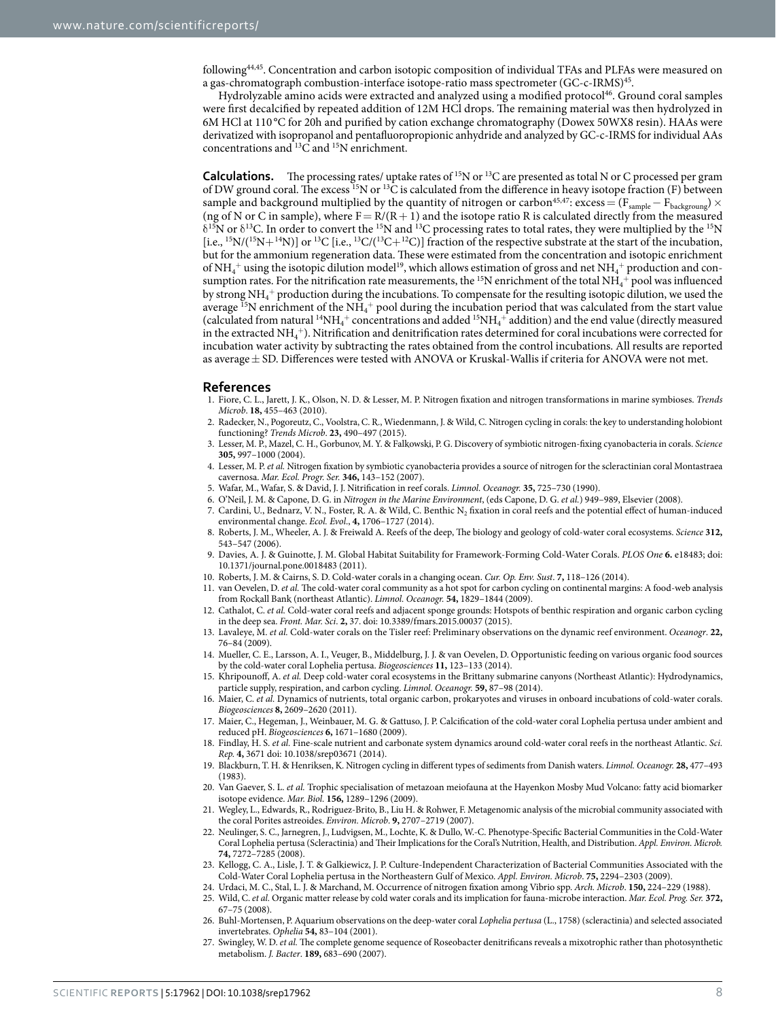followin[g44](#page-8-14)[,45](#page-8-15). Concentration and carbon isotopic composition of individual TFAs and PLFAs were measured on a gas-chromatograph combustion-interface isotope-ratio mass spectrometer (GC-c-IRMS[\)45.](#page-8-15)

Hydrolyzable amino acids were extracted and analyzed using a modified protocol<sup>46</sup>. Ground coral samples were first decalcified by repeated addition of 12M HCl drops. The remaining material was then hydrolyzed in 6M HCl at 110 °C for 20h and purified by cation exchange chromatography (Dowex 50WX8 resin). HAAs were derivatized with isopropanol and pentafluoropropionic anhydride and analyzed by GC-c-IRMS for individual AAs concentrations and 13C and 15N enrichment.

**Calculations.** The processing rates/ uptake rates of 15N or 13C are presented as total N or C processed per gram of DW ground coral. The excess <sup>15</sup>N or <sup>13</sup>C is calculated from the difference in heavy isotope fraction (F) between sample and background multiplied by the quantity of nitrogen or carbon<sup>45[,47](#page-8-17)</sup>: excess = (F<sub>sample</sub> – F<sub>backgroung</sub>) × (ng of N or C in sample), where  $F = R/(R + 1)$  and the isotope ratio R is calculated directly from the measured  $\delta^{15}$ N or  $\delta^{13}$ C. In order to convert the <sup>15</sup>N and <sup>13</sup>C processing rates to total rates, they were multiplied by the <sup>15</sup>N [i.e.,  ${}^{15}$ N/( ${}^{15}$ N+ ${}^{14}$ N)] or  ${}^{13}$ C [i.e.,  ${}^{13}$ C/( ${}^{13}$ C+ ${}^{12}$ C)] fraction of the respective substrate at the start of the incubation, but for the ammonium regeneration data. These were estimated from the concentration and isotopic enrichment of NH $_4^+$  using the isotopic dilution model<br>19, which allows estimation of gross and net  $\rm NH_4^+$  production and consumption rates. For the nitrification rate measurements, the  $^{15}N$  enrichment of the total  $NH_4^+$  pool was influenced by strong  $\rm NH_4^+$  production during the incubations. To compensate for the resulting isotopic dilution, we used the average  $^{15}N$  enrichment of the NH<sub>4</sub><sup>+</sup> pool during the incubation period that was calculated from the start value (calculated from natural  $^{14}\rm NH_4^+$  concentrations and added  $^{15}\rm NH_4^+$  addition) and the end value (directly measured in the extracted  $\rm NH_4^+$ ). Nitrification and denitrification rates determined for coral incubations were corrected for incubation water activity by subtracting the rates obtained from the control incubations. All results are reported as average  $\pm$  SD. Differences were tested with ANOVA or Kruskal-Wallis if criteria for ANOVA were not met.

#### **References**

- <span id="page-7-0"></span>1. Fiore, C. L., Jarett, J. K., Olson, N. D. & Lesser, M. P. Nitrogen fixation and nitrogen transformations in marine symbioses. *Trends Microb*. **18,** 455–463 (2010).
- <span id="page-7-1"></span>2. Radecker, N., Pogoreutz, C., Voolstra, C. R., Wiedenmann, J. & Wild, C. Nitrogen cycling in corals: the key to understanding holobiont functioning? *Trends Microb*. **23,** 490–497 (2015).
- <span id="page-7-21"></span>3. Lesser, M. P., Mazel, C. H., Gorbunov, M. Y. & Falkowski, P. G. Discovery of symbiotic nitrogen-fixing cyanobacteria in corals. *Science* **305,** 997–1000 (2004).
- <span id="page-7-22"></span>4. Lesser, M. P. *et al.* Nitrogen fixation by symbiotic cyanobacteria provides a source of nitrogen for the scleractinian coral Montastraea cavernosa. *Mar. Ecol. Progr. Ser.* **346,** 143–152 (2007).
- <span id="page-7-2"></span>5. Wafar, M., Wafar, S. & David, J. J. Nitrification in reef corals. *Limnol. Oceanogr.* **35,** 725–730 (1990).
- <span id="page-7-3"></span>6. O'Neil, J. M. & Capone, D. G. in *Nitrogen in the Marine Environment*, (eds Capone, D. G. *et al.*) 949–989, Elsevier (2008).
- <span id="page-7-4"></span>Cardini, U., Bednarz, V. N., Foster, R. A. & Wild, C. Benthic N<sub>2</sub> fixation in coral reefs and the potential effect of human-induced environmental change. *Ecol. Evol*., **4,** 1706–1727 (2014).
- <span id="page-7-5"></span>8. Roberts, J. M., Wheeler, A. J. & Freiwald A. Reefs of the deep, The biology and geology of cold-water coral ecosystems. *Science* **312,** 543–547 (2006).
- <span id="page-7-6"></span>9. Davies, A. J. & Guinotte, J. M. Global Habitat Suitability for Framework-Forming Cold-Water Corals. *PLOS One* **6.** e18483; doi: 10.1371/journal.pone.0018483 (2011).
- <span id="page-7-7"></span>10. Roberts, J. M. & Cairns, S. D. Cold-water corals in a changing ocean. *Cur. Op. Env. Sust*. **7,** 118–126 (2014).
- <span id="page-7-8"></span>11. van Oevelen, D. *et al.* The cold-water coral community as a hot spot for carbon cycling on continental margins: A food-web analysis from Rockall Bank (northeast Atlantic). *Limnol. Oceanogr.* **54,** 1829–1844 (2009).
- <span id="page-7-9"></span>12. Cathalot, C. *et al.* Cold-water coral reefs and adjacent sponge grounds: Hotspots of benthic respiration and organic carbon cycling in the deep sea. *Front. Mar. Sci*. **2,** 37. doi: 10.3389/fmars.2015.00037 (2015).
- <span id="page-7-10"></span>13. Lavaleye, M. *et al.* Cold-water corals on the Tisler reef: Preliminary observations on the dynamic reef environment. *Oceanogr*. **22,** 76–84 (2009).
- <span id="page-7-11"></span>14. Mueller, C. E., Larsson, A. I., Veuger, B., Middelburg, J. J. & van Oevelen, D. Opportunistic feeding on various organic food sources by the cold-water coral Lophelia pertusa. *Biogeosciences* **11,** 123–133 (2014).
- <span id="page-7-12"></span>15. Khripounoff, A. *et al.* Deep cold-water coral ecosystems in the Brittany submarine canyons (Northeast Atlantic): Hydrodynamics, particle supply, respiration, and carbon cycling. *Limnol. Oceanogr.* **59,** 87–98 (2014).
- <span id="page-7-13"></span>16. Maier, C. *et al.* Dynamics of nutrients, total organic carbon, prokaryotes and viruses in onboard incubations of cold-water corals. *Biogeosciences* **8,** 2609–2620 (2011).
- <span id="page-7-14"></span>17. Maier, C., Hegeman, J., Weinbauer, M. G. & Gattuso, J. P. Calcification of the cold-water coral Lophelia pertusa under ambient and reduced pH. *Biogeosciences* **6,** 1671–1680 (2009).
- <span id="page-7-15"></span>18. Findlay, H. S. *et al.* Fine-scale nutrient and carbonate system dynamics around cold-water coral reefs in the northeast Atlantic. *Sci. Rep.* **4,** 3671 doi: 10.1038/srep03671 (2014).
- <span id="page-7-16"></span>19. Blackburn, T. H. & Henriksen, K. Nitrogen cycling in different types of sediments from Danish waters. *Limnol. Oceanogr.* **28,** 477–493 (1983).
- <span id="page-7-17"></span>20. Van Gaever, S. L. *et al.* Trophic specialisation of metazoan meiofauna at the Hayenkon Mosby Mud Volcano: fatty acid biomarker isotope evidence. *Mar. Biol.* **156,** 1289–1296 (2009).
- <span id="page-7-18"></span>21. Wegley, L., Edwards, R., Rodriguez-Brito, B., Liu H. & Rohwer, F. Metagenomic analysis of the microbial community associated with the coral Porites astreoides. *Environ. Microb*. **9,** 2707–2719 (2007).
- <span id="page-7-19"></span>22. Neulinger, S. C., Jarnegren, J., Ludvigsen, M., Lochte, K. & Dullo, W.-C. Phenotype-Specific Bacterial Communities in the Cold-Water Coral Lophelia pertusa (Scleractinia) and Their Implications for the Coral's Nutrition, Health, and Distribution. *Appl. Environ. Microb.* **74,** 7272–7285 (2008).
- <span id="page-7-20"></span>23. Kellogg, C. A., Lisle, J. T. & Galkiewicz, J. P. Culture-Independent Characterization of Bacterial Communities Associated with the Cold-Water Coral Lophelia pertusa in the Northeastern Gulf of Mexico. *Appl. Environ. Microb*. **75,** 2294–2303 (2009).
- <span id="page-7-23"></span>24. Urdaci, M. C., Stal, L. J. & Marchand, M. Occurrence of nitrogen fixation among Vibrio spp. *Arch. Microb*. **150,** 224–229 (1988).
- <span id="page-7-24"></span>25. Wild, C. *et al.* Organic matter release by cold water corals and its implication for fauna-microbe interaction. *Mar. Ecol. Prog. Ser.* **372,** 67–75 (2008).
- <span id="page-7-25"></span>26. Buhl-Mortensen, P. Aquarium observations on the deep-water coral *Lophelia pertusa* (L., 1758) (scleractinia) and selected associated invertebrates. *Ophelia* **54,** 83–104 (2001).
- <span id="page-7-26"></span>27. Swingley, W. D. *et al.* The complete genome sequence of Roseobacter denitrificans reveals a mixotrophic rather than photosynthetic metabolism. *J. Bacter*. **189,** 683–690 (2007).